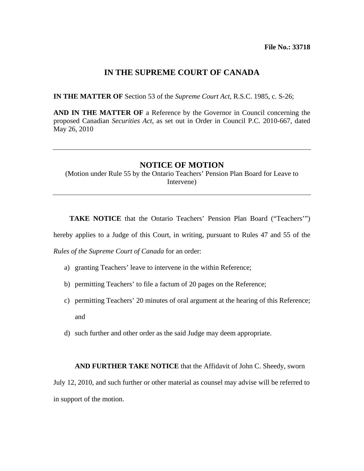## **IN THE SUPREME COURT OF CANADA**

**IN THE MATTER OF** Section 53 of the *Supreme Court Act,* R.S.C. 1985, c. S-26;

**AND IN THE MATTER OF** a Reference by the Governor in Council concerning the proposed Canadian *Securities Act*, as set out in Order in Council P.C. 2010-667, dated May 26, 2010

## **NOTICE OF MOTION**

(Motion under Rule 55 by the Ontario Teachers' Pension Plan Board for Leave to Intervene)

 **TAKE NOTICE** that the Ontario Teachers' Pension Plan Board ("Teachers'")

hereby applies to a Judge of this Court, in writing, pursuant to Rules 47 and 55 of the

*Rules of the Supreme Court of Canada* for an order:

- a) granting Teachers' leave to intervene in the within Reference;
- b) permitting Teachers' to file a factum of 20 pages on the Reference;
- c) permitting Teachers' 20 minutes of oral argument at the hearing of this Reference; and
- d) such further and other order as the said Judge may deem appropriate.

## **AND FURTHER TAKE NOTICE** that the Affidavit of John C. Sheedy, sworn

July 12, 2010, and such further or other material as counsel may advise will be referred to in support of the motion.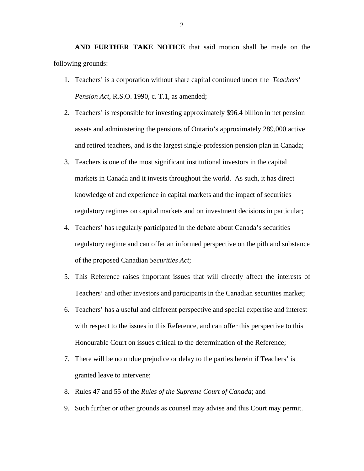**AND FURTHER TAKE NOTICE** that said motion shall be made on the following grounds:

- 1. Teachers' is a corporation without share capital continued under the *Teachers' Pension Act*, R.S.O. 1990, c. T.1, as amended;
- 2. Teachers' is responsible for investing approximately \$96.4 billion in net pension assets and administering the pensions of Ontario's approximately 289,000 active and retired teachers, and is the largest single-profession pension plan in Canada;
- 3. Teachers is one of the most significant institutional investors in the capital markets in Canada and it invests throughout the world. As such, it has direct knowledge of and experience in capital markets and the impact of securities regulatory regimes on capital markets and on investment decisions in particular;
- 4. Teachers' has regularly participated in the debate about Canada's securities regulatory regime and can offer an informed perspective on the pith and substance of the proposed Canadian *Securities Act*;
- 5. This Reference raises important issues that will directly affect the interests of Teachers' and other investors and participants in the Canadian securities market;
- 6. Teachers' has a useful and different perspective and special expertise and interest with respect to the issues in this Reference, and can offer this perspective to this Honourable Court on issues critical to the determination of the Reference;
- 7. There will be no undue prejudice or delay to the parties herein if Teachers' is granted leave to intervene;
- 8. Rules 47 and 55 of the *Rules of the Supreme Court of Canada*; and
- 9. Such further or other grounds as counsel may advise and this Court may permit.

2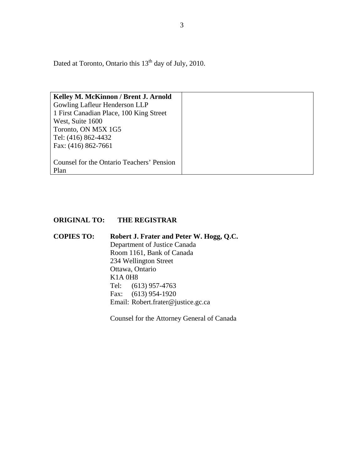Dated at Toronto, Ontario this 13<sup>th</sup> day of July, 2010.

| Kelley M. McKinnon / Brent J. Arnold      |
|-------------------------------------------|
| Gowling Lafleur Henderson LLP             |
| 1 First Canadian Place, 100 King Street   |
| West, Suite 1600                          |
| Toronto, ON M5X 1G5                       |
| Tel: (416) 862-4432                       |
| Fax: (416) 862-7661                       |
|                                           |
| Counsel for the Ontario Teachers' Pension |
| Plan                                      |

## **ORIGINAL TO: THE REGISTRAR**

**COPIES TO: Robert J. Frater and Peter W. Hogg, Q.C.**  Department of Justice Canada Room 1161, Bank of Canada 234 Wellington Street Ottawa, Ontario K1A 0H8 Tel: (613) 957-4763 Fax: (613) 954-1920 Email: Robert.frater@justice.gc.ca

Counsel for the Attorney General of Canada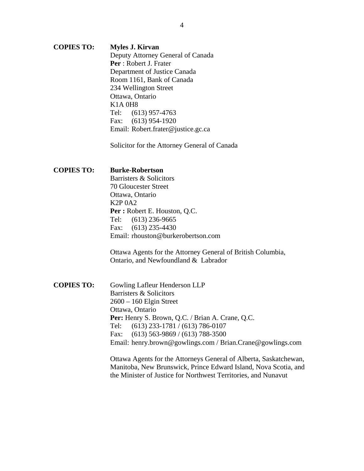**COPIES TO: Myles J. Kirvan** Deputy Attorney General of Canada **Per** : Robert J. Frater Department of Justice Canada Room 1161, Bank of Canada 234 Wellington Street Ottawa, Ontario K1A 0H8 Tel: (613) 957-4763 Fax: (613) 954-1920 Email: Robert.frater@justice.gc.ca

Solicitor for the Attorney General of Canada

**COPIES TO: Burke-Robertson** Barristers & Solicitors 70 Gloucester Street Ottawa, Ontario K2P 0A2 **Per :** Robert E. Houston, Q.C. Tel: (613) 236-9665 Fax: (613) 235-4430 Email: rhouston@burkerobertson.com

> Ottawa Agents for the Attorney General of British Columbia, Ontario, and Newfoundland & Labrador

**COPIES TO:** Gowling Lafleur Henderson LLP Barristers & Solicitors 2600 – 160 Elgin Street Ottawa, Ontario Per: Henry S. Brown, Q.C. / Brian A. Crane, Q.C. Tel: (613) 233-1781 / (613) 786-0107 Fax: (613) 563-9869 / (613) 788-3500 Email: henry.brown@gowlings.com / Brian.Crane@gowlings.com

> Ottawa Agents for the Attorneys General of Alberta, Saskatchewan, Manitoba, New Brunswick, Prince Edward Island, Nova Scotia, and the Minister of Justice for Northwest Territories, and Nunavut